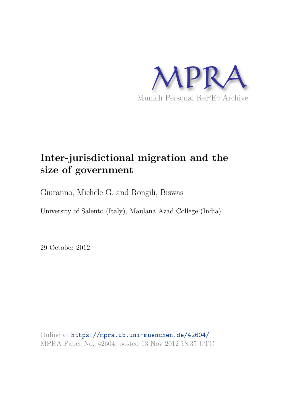

# **Inter-jurisdictional migration and the size of government**

Giuranno, Michele G. and Rongili, Biswas

University of Salento (Italy), Maulana Azad College (India)

29 October 2012

Online at https://mpra.ub.uni-muenchen.de/42604/ MPRA Paper No. 42604, posted 13 Nov 2012 18:35 UTC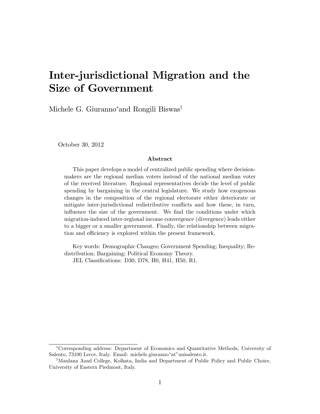# Inter-jurisdictional Migration and the Size of Government

Michele G. Giuranno<sup>\*</sup> and Rongili Biswas<sup>†</sup>

October 30, 2012

#### Abstract

This paper develops a model of centralized public spending where decisionmakers are the regional median voters instead of the national median voter of the received literature. Regional representatives decide the level of public spending by bargaining in the central legislature. We study how exogenous changes in the composition of the regional electorate either deteriorate or mitigate inter-jurisdictional redistributive conflicts and how these, in turn, influence the size of the government. We find the conditions under which migration-induced inter-regional income convergence (divergence) leads either to a bigger or a smaller government. Finally, the relationship between migration and efficiency is explored within the present framework.

Key words: Demographic Changes; Government Spending; Inequality; Redistribution; Bargaining; Political Economy Theory. JEL Classifications: D30, D78, H0, H41, H50, R1.

Corresponding address: Department of Economics and Quantitative Methods, University of Salento, 73100 Lecce, Italy. Email: michele.giuranno "at" unisalento.it.

<sup>&</sup>lt;sup>†</sup>Maulana Azad College, Kolkata, India and Department of Public Policy and Public Choice, University of Eastern Piedmont, Italy.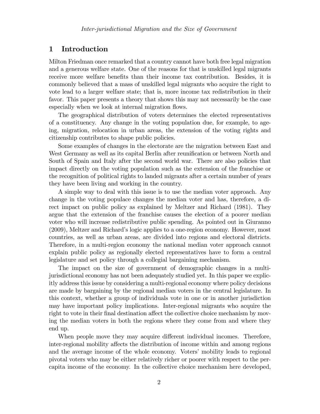## 1 Introduction

Milton Friedman once remarked that a country cannot have both free legal migration and a generous welfare state. One of the reasons for that is unskilled legal migrants receive more welfare benefits than their income tax contribution. Besides, it is commonly believed that a mass of unskilled legal migrants who acquire the right to vote lead to a larger welfare state; that is, more income tax redistribution in their favor. This paper presents a theory that shows this may not necessarily be the case especially when we look at internal migration flows.

The geographical distribution of voters determines the elected representatives of a constituency. Any change in the voting population due, for example, to ageing, migration, relocation in urban areas, the extension of the voting rights and citizenship contributes to shape public policies.

Some examples of changes in the electorate are the migration between East and West Germany as well as its capital Berlin after reunification or between North and South of Spain and Italy after the second world war. There are also policies that impact directly on the voting population such as the extension of the franchise or the recognition of political rights to landed migrants after a certain number of years they have been living and working in the country.

A simple way to deal with this issue is to use the median voter approach. Any change in the voting populace changes the median voter and has, therefore, a direct impact on public policy as explained by Meltzer and Richard (1981). They argue that the extension of the franchise causes the election of a poorer median voter who will increase redistributive public spending. As pointed out in Giuranno (2009), Meltzer and Richard's logic applies to a one-region economy. However, most countries, as well as urban areas, are divided into regions and electoral districts. Therefore, in a multi-region economy the national median voter approach cannot explain public policy as regionally elected representatives have to form a central legislature and set policy through a collegial bargaining mechanism.

The impact on the size of government of demographic changes in a multijurisdictional economy has not been adequately studied yet. In this paper we explicitly address this issue by considering a multi-regional economy where policy decisions are made by bargaining by the regional median voters in the central legislature. In this context, whether a group of individuals vote in one or in another jurisdiction may have important policy implications. Inter-regional migrants who acquire the right to vote in their final destination affect the collective choice mechanism by moving the median voters in both the regions where they come from and where they end up.

When people move they may acquire different individual incomes. Therefore, inter-regional mobility affects the distribution of income within and among regions and the average income of the whole economy. Voters' mobility leads to regional pivotal voters who may be either relatively richer or poorer with respect to the percapita income of the economy. In the collective choice mechanism here developed,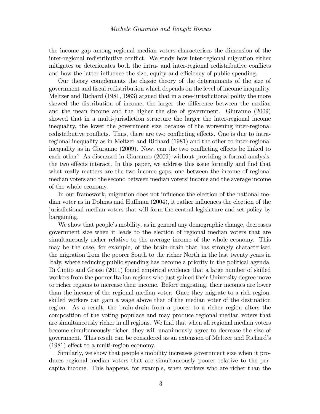the income gap among regional median voters characterises the dimension of the inter-regional redistributive conflict. We study how inter-regional migration either mitigates or deteriorates both the intra- and inter-regional redistributive conflicts and how the latter influence the size, equity and efficiency of public spending.

Our theory complements the classic theory of the determinants of the size of government and Öscal redistribution which depends on the level of income inequality. Meltzer and Richard (1981, 1983) argued that in a one-jurisdictional polity the more skewed the distribution of income, the larger the difference between the median and the mean income and the higher the size of government. Giuranno (2009) showed that in a multi-jurisdiction structure the larger the inter-regional income inequality, the lower the government size because of the worsening inter-regional redistributive conflicts. Thus, there are two conflicting effects. One is due to intraregional inequality as in Meltzer and Richard (1981) and the other to inter-regional inequality as in Giuranno (2009). Now, can the two conflicting effects be linked to each other? As discussed in Giuranno (2009) without providing a formal analysis, the two effects interact. In this paper, we address this issue formally and find that what really matters are the two income gaps, one between the income of regional median voters and the second between median voters' income and the average income of the whole economy.

In our framework, migration does not influence the election of the national median voter as in Dolmas and Huffman  $(2004)$ , it rather influences the election of the jurisdictional median voters that will form the central legislature and set policy by bargaining.

We show that people's mobility, as in general any demographic change, decreases government size when it leads to the election of regional median voters that are simultaneously richer relative to the average income of the whole economy. This may be the case, for example, of the brain-drain that has strongly characterised the migration from the poorer South to the richer North in the last twenty years in Italy, where reducing public spending has become a priority in the political agenda. Di Cintio and Grassi (2011) found empirical evidence that a large number of skilled workers from the poorer Italian regions who just gained their University degree move to richer regions to increase their income. Before migrating, their incomes are lower than the income of the regional median voter. Once they migrate to a rich region, skilled workers can gain a wage above that of the median voter of the destination region. As a result, the brain-drain from a poorer to a richer region alters the composition of the voting populace and may produce regional median voters that are simultaneously richer in all regions. We find that when all regional median voters become simultaneously richer, they will unanimously agree to decrease the size of government. This result can be considered as an extension of Meltzer and Richardís  $(1981)$  effect to a multi-region economy.

Similarly, we show that people's mobility increases government size when it produces regional median voters that are simultaneously poorer relative to the percapita income. This happens, for example, when workers who are richer than the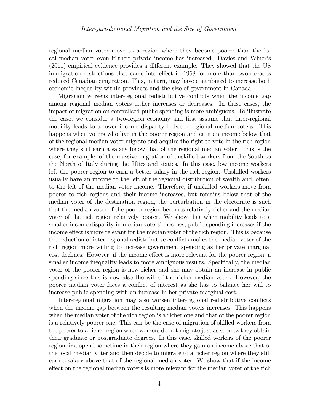regional median voter move to a region where they become poorer than the local median voter even if their private income has increased. Davies and Winerís  $(2011)$  empirical evidence provides a different example. They showed that the US immigration restrictions that came into effect in 1968 for more than two decades reduced Canadian emigration. This, in turn, may have contributed to increase both economic inequality within provinces and the size of government in Canada.

Migration worsens inter-regional redistributive conflicts when the income gap among regional median voters either increases or decreases. In these cases, the impact of migration on centralised public spending is more ambiguous. To illustrate the case, we consider a two-region economy and first assume that inter-regional mobility leads to a lower income disparity between regional median voters. This happens when voters who live in the poorer region and earn an income below that of the regional median voter migrate and acquire the right to vote in the rich region where they still earn a salary below that of the regional median voter. This is the case, for example, of the massive migration of unskilled workers from the South to the North of Italy during the fifties and sixties. In this case, low income workers left the poorer region to earn a better salary in the rich region. Unskilled workers usually have an income to the left of the regional distribution of wealth and, often, to the left of the median voter income. Therefore, if unskilled workers move from poorer to rich regions and their income increases, but remains below that of the median voter of the destination region, the perturbation in the electorate is such that the median voter of the poorer region becomes relatively richer and the median voter of the rich region relatively poorer. We show that when mobility leads to a smaller income disparity in median voters' incomes, public spending increases if the income effect is more relevant for the median voter of the rich region. This is because the reduction of inter-regional redistributive conflicts makes the median voter of the rich region more willing to increase government spending as her private marginal cost declines. However, if the income effect is more relevant for the poorer region, a smaller income inequality leads to more ambiguous results. Specifically, the median voter of the poorer region is now richer and she may obtain an increase in public spending since this is now also the will of the richer median voter. However, the poorer median voter faces a conáict of interest as she has to balance her will to increase public spending with an increase in her private marginal cost.

Inter-regional migration may also worsen inter-regional redistributive conflicts when the income gap between the resulting median voters increases. This happens when the median voter of the rich region is a richer one and that of the poorer region is a relatively poorer one. This can be the case of migration of skilled workers from the poorer to a richer region when workers do not migrate just as soon as they obtain their graduate or postgraduate degrees. In this case, skilled workers of the poorer region first spend sometime in their region where they gain an income above that of the local median voter and then decide to migrate to a richer region where they still earn a salary above that of the regional median voter. We show that if the income effect on the regional median voters is more relevant for the median voter of the rich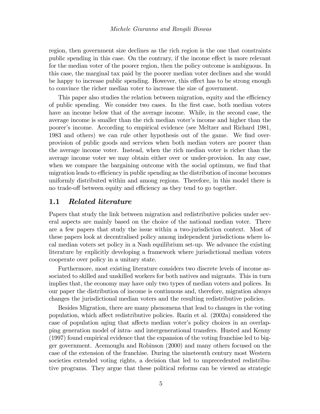region, then government size declines as the rich region is the one that constraints public spending in this case. On the contrary, if the income effect is more relevant for the median voter of the poorer region, then the policy outcome is ambiguous. In this case, the marginal tax paid by the poorer median voter declines and she would be happy to increase public spending. However, this effect has to be strong enough to convince the richer median voter to increase the size of government.

This paper also studies the relation between migration, equity and the efficiency of public spending. We consider two cases. In the Örst case, both median voters have an income below that of the average income. While, in the second case, the average income is smaller than the rich median voter's income and higher than the poorerís income. According to empirical evidence (see Meltzer and Richard 1981, 1983 and others) we can rule other hypothesis out of the game. We find overprovision of public goods and services when both median voters are poorer than the average income voter. Instead, when the rich median voter is richer than the average income voter we may obtain either over or under-provision. In any case, when we compare the bargaining outcome with the social optimum, we find that migration leads to efficiency in public spending as the distribution of income becomes uniformly distributed within and among regions. Therefore, in this model there is no trade-off between equity and efficiency as they tend to go together.

## 1.1 Related literature

Papers that study the link between migration and redistributive policies under several aspects are mainly based on the choice of the national median voter. There are a few papers that study the issue within a two-jurisdiction context. Most of these papers look at decentralised policy among independent jurisdictions where local median voters set policy in a Nash equilibrium set-up. We advance the existing literature by explicitly developing a framework where jurisdictional median voters cooperate over policy in a unitary state.

Furthermore, most existing literature considers two discrete levels of income associated to skilled and unskilled workers for both natives and migrants. This in turn implies that, the economy may have only two types of median voters and polices. In our paper the distribution of income is continuous and, therefore, migration always changes the jurisdictional median voters and the resulting redistributive policies.

Besides Migration, there are many phenomena that lead to changes in the voting population, which a§ect redistributive policies. Razin et al. (2002a) considered the case of population aging that affects median voter's policy choices in an overlapping generation model of intra- and intergenerational transfers. Husted and Kenny (1997) found empirical evidence that the expansion of the voting franchise led to bigger government. Acemouglu and Robinson (2000) and many others focused on the case of the extension of the franchise. During the nineteenth century most Western societies extended voting rights, a decision that led to unprecedented redistributive programs. They argue that these political reforms can be viewed as strategic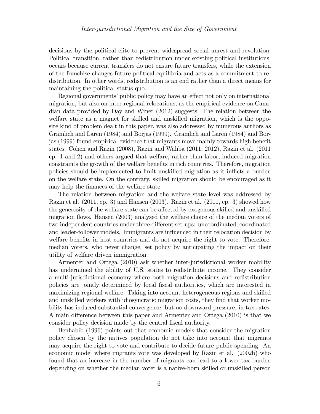decisions by the political elite to prevent widespread social unrest and revolution. Political transition, rather than redistribution under existing political institutions, occurs because current transfers do not ensure future transfers, while the extension of the franchise changes future political equilibria and acts as a commitment to redistribution. In other words, redistribution is an end rather than a direct means for maintaining the political status quo.

Regional governments' public policy may have an effect not only on international migration, but also on inter-regional relocations, as the empirical evidence on Canadian data provided by Day and Winer (2012) suggests. The relation between the welfare state as a magnet for skilled and unskilled migration, which is the opposite kind of problem dealt in this paper, was also addressed by numerous authors as Gramlich and Laren (1984) and Borjas (1999). Gramlich and Laren (1984) and Borjas (1999) found empirical evidence that migrants move mainly towards high beneÖt states. Cohen and Razin (2008), Razin and Wahba (2011, 2012), Razin et al. (2011 cp. 1 and 2) and others argued that welfare, rather than labor, induced migration constraints the growth of the welfare benefits in rich countries. Therefore, migration policies should be implemented to limit unskilled migration as it ináicts a burden on the welfare state. On the contrary, skilled migration should be encouraged as it may help the finances of the welfare state.

The relation between migration and the welfare state level was addressed by Razin et al. (2011, cp. 3) and Hansen (2003). Razin et al. (2011, cp. 3) showed how the generosity of the welfare state can be affected by exogenous skilled and unskilled migration flows. Hansen (2003) analysed the welfare choice of the median voters of two independent countries under three different set-ups: uncoordinated, coordinated and leader-follower models. Immigrants are influenced in their relocation decision by welfare benefits in host countries and do not acquire the right to vote. Therefore, median voters, who never change, set policy by anticipating the impact on their utility of welfare driven immigration.

Armenter and Ortega (2010) ask whether inter-jurisdictional worker mobility has undermined the ability of U.S. states to redistribute income. They consider a multi-jurisdictional economy where both migration decisions and redistribution policies are jointly determined by local Öscal authorities, which are interested in maximizing regional welfare. Taking into account heterogeneous regions and skilled and unskilled workers with idiosyncratic migration costs, they find that worker mobility has induced substantial convergence, but no downward pressure, in tax rates. A main difference between this paper and Armenter and Ortega (2010) is that we consider policy decision made by the central fiscal authority.

Benhabib (1996) points out that economic models that consider the migration policy chosen by the natives population do not take into account that migrants may acquire the right to vote and contribute to decide future public spending. An economic model where migrants vote was developed by Razin et al. (2002b) who found that an increase in the number of migrants can lead to a lower tax burden depending on whether the median voter is a native-born skilled or unskilled person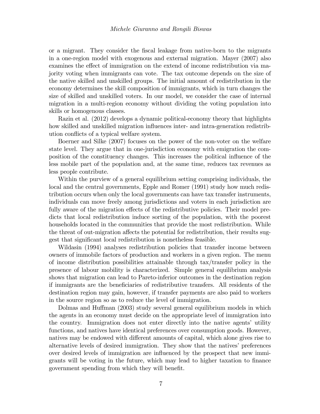or a migrant. They consider the Öscal leakage from native-born to the migrants in a one-region model with exogenous and external migration. Mayer (2007) also examines the effect of immigration on the extend of income redistribution via majority voting when immigrants can vote. The tax outcome depends on the size of the native skilled and unskilled groups. The initial amount of redistribution in the economy determines the skill composition of immigrants, which in turn changes the size of skilled and unskilled voters. In our model, we consider the case of internal migration in a multi-region economy without dividing the voting population into skills or homogenous classes.

Razin et al. (2012) develops a dynamic political-economy theory that highlights how skilled and unskilled migration influences inter- and intra-generation redistribution conflicts of a typical welfare system.

Boerner and Silke (2007) focuses on the power of the non-voter on the welfare state level. They argue that in one-jurisdiction economy with emigration the composition of the constituency changes. This increases the political influence of the less mobile part of the population and, at the same time, reduces tax revenues as less people contribute.

Within the purview of a general equilibrium setting comprising individuals, the local and the central governments, Epple and Romer (1991) study how much redistribution occurs when only the local governments can have tax transfer instruments, individuals can move freely among jurisdictions and voters in each jurisdiction are fully aware of the migration effects of the redistributive policies. Their model predicts that local redistribution induce sorting of the population, with the poorest households located in the communities that provide the most redistribution. While the threat of out-migration affects the potential for redistribution, their results suggest that significant local redistribution is nonetheless feasible.

Wildasin (1994) analyses redistribution policies that transfer income between owners of immobile factors of production and workers in a given region. The menu of income distribution possibilities attainable through tax/transfer policy in the presence of labour mobility is characterized. Simple general equilibrium analysis shows that migration can lead to Pareto-inferior outcomes in the destination region if immigrants are the beneficiaries of redistributive transfers. All residents of the destination region may gain, however, if transfer payments are also paid to workers in the source region so as to reduce the level of immigration.

Dolmas and Huffman (2003) study several general equilibrium models in which the agents in an economy must decide on the appropriate level of immigration into the country. Immigration does not enter directly into the native agents' utility functions, and natives have identical preferences over consumption goods. However, natives may be endowed with different amounts of capital, which alone gives rise to alternative levels of desired immigration. They show that the natives' preferences over desired levels of immigration are ináuenced by the prospect that new immigrants will be voting in the future, which may lead to higher taxation to finance government spending from which they will benefit.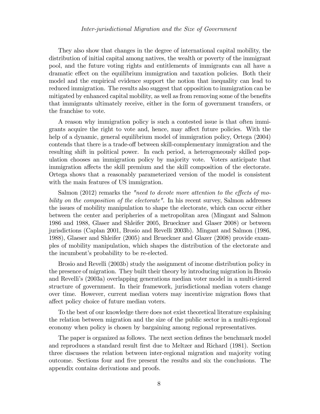They also show that changes in the degree of international capital mobility, the distribution of initial capital among natives, the wealth or poverty of the immigrant pool, and the future voting rights and entitlements of immigrants can all have a dramatic effect on the equilibrium immigration and taxation policies. Both their model and the empirical evidence support the notion that inequality can lead to reduced immigration. The results also suggest that opposition to immigration can be mitigated by enhanced capital mobility, as well as from removing some of the benefits that immigrants ultimately receive, either in the form of government transfers, or the franchise to vote.

A reason why immigration policy is such a contested issue is that often immigrants acquire the right to vote and, hence, may affect future policies. With the help of a dynamic, general equilibrium model of immigration policy, Ortega (2004) contends that there is a trade-off between skill-complementary immigration and the resulting shift in political power. In each period, a heterogeneously skilled population chooses an immigration policy by majority vote. Voters anticipate that immigration affects the skill premium and the skill composition of the electorate. Ortega shows that a reasonably parameterized version of the model is consistent with the main features of US immigration.

Salmon  $(2012)$  remarks the "need to devote more attention to the effects of mobility on the composition of the electorate". In his recent survey, Salmon addresses the issues of mobility manipulation to shape the electorate, which can occur either between the center and peripheries of a metropolitan area (Mingant and Salmon 1986 and 1988, Glaser and Shleifer 2005, Brueckner and Glaser 2008) or between jurisdictions (Caplan 2001, Brosio and Revelli 2003b). Mingant and Salmon (1986, 1988), Glaeser and Shleifer (2005) and Brueckner and Glazer (2008) provide examples of mobility manipulation, which shapes the distribution of the electorate and the incumbent's probability to be re-elected.

Brosio and Revelli (2003b) study the assignment of income distribution policy in the presence of migration. They built their theory by introducing migration in Brosio and Revelliís (2003a) overlapping generations median voter model in a multi-tiered structure of government. In their framework, jurisdictional median voters change over time. However, current median voters may incentivize migration áows that affect policy choice of future median voters.

To the best of our knowledge there does not exist theoretical literature explaining the relation between migration and the size of the public sector in a multi-regional economy when policy is chosen by bargaining among regional representatives.

The paper is organized as follows. The next section defines the benchmark model and reproduces a standard result first due to Meltzer and Richard (1981). Section three discusses the relation between inter-regional migration and majority voting outcome. Sections four and Öve present the results and six the conclusions. The appendix contains derivations and proofs.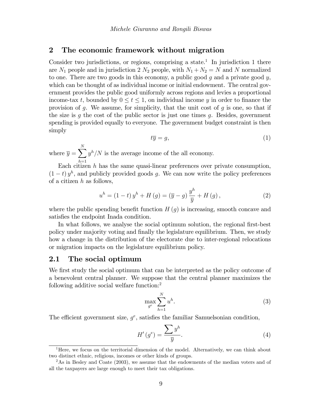## 2 The economic framework without migration

Consider two jurisdictions, or regions, comprising a state.<sup>1</sup> In jurisdiction 1 there are  $N_1$  people and in jurisdiction 2  $N_2$  people, with  $N_1 + N_2 = N$  and N normalized to one. There are two goods in this economy, a public good  $g$  and a private good  $y$ , which can be thought of as individual income or initial endowment. The central government provides the public good uniformly across regions and levies a proportional income-tax t, bounded by  $0 \le t \le 1$ , on individual income y in order to finance the provision of g. We assume, for simplicity, that the unit cost of g is one, so that if the size is q the cost of the public sector is just one times q. Besides, government spending is provided equally to everyone. The government budget constraint is then simply

$$
t\overline{y} = g,\tag{1}
$$

where  $\overline{y} = \sum_{n=1}^{N}$  $h=1$  $y<sup>h</sup>/N$  is the average income of the all economy.

Each citizen  $h$  has the same quasi-linear preferences over private consumption,  $(1-t) y<sup>h</sup>$ , and publicly provided goods g. We can now write the policy preferences of a citizen  $h$  as follows,

$$
u^{h} = (1-t) y^{h} + H(g) = (\overline{y} - g) \frac{y^{h}}{\overline{y}} + H(g), \qquad (2)
$$

where the public spending benefit function  $H(g)$  is increasing, smooth concave and satisfies the endpoint Inada condition.

In what follows, we analyse the social optimum solution, the regional first-best policy under majority voting and finally the legislature equilibrium. Then, we study how a change in the distribution of the electorate due to inter-regional relocations or migration impacts on the legislature equilibrium policy.

## 2.1 The social optimum

We first study the social optimum that can be interpreted as the policy outcome of a benevolent central planner. We suppose that the central planner maximizes the following additive social welfare function:<sup>2</sup>

$$
\max_{g^e} \sum_{h=1}^N u^h. \tag{3}
$$

The efficient government size,  $g^e$ , satisfies the familiar Samuelsonian condition,

$$
H'(g^e) = \frac{\sum y^h}{\overline{y}}.\tag{4}
$$

<sup>&</sup>lt;sup>1</sup>Here, we focus on the territorial dimension of the model. Alternatively, we can think about two distinct ethnic, religious, incomes or other kinds of groups.

<sup>&</sup>lt;sup>2</sup>As in Besley and Coate (2003), we assume that the endowments of the median voters and of all the taxpayers are large enough to meet their tax obligations.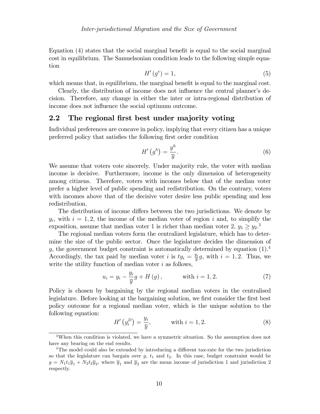Equation  $(4)$  states that the social marginal benefit is equal to the social marginal cost in equilibrium. The Samuelsonian condition leads to the following simple equation

$$
H'(g^e) = 1,\t\t(5)
$$

which means that, in equilibrium, the marginal benefit is equal to the marginal cost.

Clearly, the distribution of income does not influence the central planner's decision. Therefore, any change in either the inter or intra-regional distribution of income does not influence the social optimum outcome.

## 2.2 The regional first best under majority voting

Individual preferences are concave in policy, implying that every citizen has a unique preferred policy that satisfies the following first order condition

$$
H'\left(g^h\right) = \frac{y^h}{\overline{y}}.\tag{6}
$$

We assume that voters vote sincerely. Under majority rule, the voter with median income is decisive. Furthermore, income is the only dimension of heterogeneity among citizens. Therefore, voters with incomes below that of the median voter prefer a higher level of public spending and redistribution. On the contrary, voters with incomes above that of the decisive voter desire less public spending and less redistribution.

The distribution of income differs between the two jurisdictions. We denote by  $y_i$ , with  $i = 1, 2$ , the income of the median voter of region i and, to simplify the exposition, assume that median voter 1 is richer than median voter 2,  $y_1 \ge y_2$ .<sup>3</sup>

The regional median voters form the centralized legislature, which has to determine the size of the public sector. Once the legislature decides the dimension of g, the government budget constraint is automatically determined by equation  $(1)^4$ . Accordingly, the tax paid by median voter i is  $ty_i = \frac{y_i}{\overline{n}}$  $\frac{y_i}{\overline{y}}g$ , with  $i=1,2$ . Thus, we write the utility function of median voter  $i$  as follows,

$$
u_i = y_i - \frac{y_i}{\bar{y}}g + H(g)
$$
, with  $i = 1, 2$ . (7)

Policy is chosen by bargaining by the regional median voters in the centralised legislature. Before looking at the bargaining solution, we first consider the first best policy outcome for a regional median voter, which is the unique solution to the following equation:

$$
H'\left(g_i^D\right) = \frac{y_i}{\overline{y}}, \qquad \text{with } i = 1, 2. \tag{8}
$$

<sup>3</sup>When this condition is violated, we have a symmetric situation. So the assumption does not have any bearing on the end results.

<sup>&</sup>lt;sup>4</sup>The model could also be extended by introducing a different tax-rate for the two jurisdiction so that the legislature can bargain over  $g$ ,  $t_1$  and  $t_2$ . In this case, budget constraint would be  $g = N_1 t_1 \overline{y}_1 + N_2 t_2 \overline{y}_2$ , where  $\overline{y}_1$  and  $\overline{y}_2$  are the mean income of jurisdiction 1 and jurisdiction 2 respectly.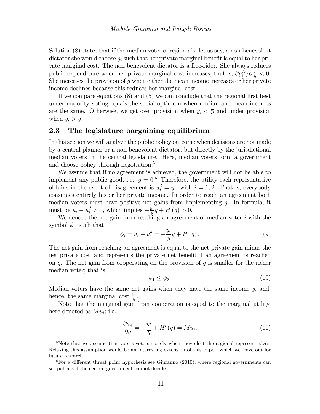Solution  $(8)$  states that if the median voter of region i is, let us say, a non-benevolent dictator she would choose  $g_i$  such that her private marginal benefit is equal to her private marginal cost. The non benevolent dictator is a free-rider. She always reduces public expenditure when her private marginal cost increases; that is,  $\partial g_i^D / \partial \frac{y_i}{\overline{y}} < 0$ . She increases the provision of  $g$  when either the mean income increases or her private income declines because this reduces her marginal cost.

If we compare equations  $(8)$  and  $(5)$  we can conclude that the regional first best under majority voting equals the social optimum when median and mean incomes are the same. Otherwise, we get over provision when  $y_i < \overline{y}$  and under provision when  $y_i > \overline{y}$ .

## 2.3 The legislature bargaining equilibrium

In this section we will analyze the public policy outcome when decisions are not made by a central planner or a non-benevolent dictator, but directly by the jurisdictional median voters in the central legislature. Here, median voters form a government and choose policy through negotiation.<sup>5</sup>

We assume that if no agreement is achieved, the government will not be able to implement any public good, i.e.,  $g = 0.6$  Therefore, the utility each representative obtains in the event of disagreement is  $u_i^d = y_i$ , with  $i = 1, 2$ . That is, everybody consumes entirely his or her private income. In order to reach an agreement both median voters must have positive net gains from implementing  $q$ . In formula, it must be  $u_i - u_i^d > 0$ , which implies  $-\frac{y_i}{\overline{y}}$  $\frac{y_i}{\overline{y}}g + H(g) > 0.$ 

We denote the net gain from reaching an agreement of median voter  $i$  with the symbol  $\phi_i$ , such that

$$
\phi_i = u_i - u_i^d = -\frac{y_i}{\overline{y}}g + H(g).
$$
\n(9)

The net gain from reaching an agreement is equal to the net private gain minus the net private cost and represents the private net benefit if an agreement is reached on  $q$ . The net gain from cooperating on the provision of  $q$  is smaller for the richer median voter; that is,

$$
\phi_1 \le \phi_2. \tag{10}
$$

Median voters have the same net gains when they have the same income  $y_i$  and, hence, the same marginal cost  $\frac{y_i}{\bar{y}}$ .

Note that the marginal gain from cooperation is equal to the marginal utility, here denoted as  $Mu_i$ ; i.e.:

$$
\frac{\partial \phi_i}{\partial g} = -\frac{y_i}{\overline{y}} + H'(g) = M u_i.
$$
\n(11)

 $5$ Note that we assume that voters vote sincerely when they elect the regional representatives. Relaxing this assumption would be an interesting extension of this paper, which we leave out for future research.

 $6$ For a different threat point hypothesis see Giuranno (2010), where regional governments can set policies if the central government cannot decide.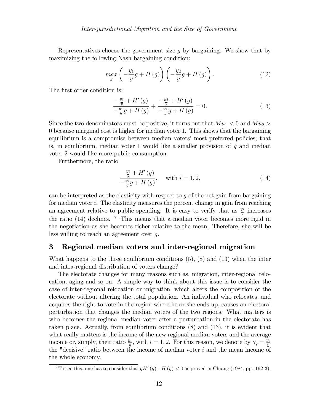Representatives choose the government size  $q$  by bargaining. We show that by maximizing the following Nash bargaining condition:

$$
\max_{g} \left( -\frac{y_1}{\overline{y}}g + H\left(g\right) \right) \left( -\frac{y_2}{\overline{y}}g + H\left(g\right) \right). \tag{12}
$$

The first order condition is:

$$
\frac{-\frac{y_1}{\bar{y}} + H'(g)}{-\frac{y_1}{\bar{y}}g + H(g)} + \frac{-\frac{y_2}{\bar{y}} + H'(g)}{-\frac{y_2}{\bar{y}}g + H(g)} = 0.
$$
\n(13)

Since the two denominators must be positive, it turns out that  $Mu_1 < 0$  and  $Mu_2 >$ 0 because marginal cost is higher for median voter 1. This shows that the bargaining equilibrium is a compromise between median voters' most preferred policies; that is, in equilibrium, median voter 1 would like a smaller provision of  $g$  and median voter 2 would like more public consumption.

Furthermore, the ratio

$$
\frac{-\frac{y_i}{\overline{y}} + H'(g)}{-\frac{y_i}{\overline{y}}g + H(g)}, \quad \text{with } i = 1, 2,
$$
\n
$$
(14)
$$

can be interpreted as the elasticity with respect to  $g$  of the net gain from bargaining for median voter i. The elasticity measures the percent change in gain from reaching an agreement relative to public spending. It is easy to verify that as  $\frac{y_i}{\bar{y}}$  increases the ratio  $(14)$  declines. <sup>7</sup> This means that a median voter becomes more rigid in the negotiation as she becomes richer relative to the mean. Therefore, she will be less willing to reach an agreement over g.

## 3 Regional median voters and inter-regional migration

What happens to the three equilibrium conditions  $(5)$ ,  $(8)$  and  $(13)$  when the inter and intra-regional distribution of voters change?

The electorate changes for many reasons such as, migration, inter-regional relocation, aging and so on. A simple way to think about this issue is to consider the case of inter-regional relocation or migration, which alters the composition of the electorate without altering the total population. An individual who relocates, and acquires the right to vote in the region where he or she ends up, causes an electoral perturbation that changes the median voters of the two regions. What matters is who becomes the regional median voter after a perturbation in the electorate has taken place. Actually, from equilibrium conditions (8) and (13), it is evident that what really matters is the income of the new regional median voters and the average income or, simply, their ratio  $\frac{y_i}{\overline{y}}$ , with  $i = 1, 2$ . For this reason, we denote by  $\gamma_i = \frac{y_i}{\overline{y}}$ the "decisive" ratio between the income of median voter i and the mean income of the "decisive" ratio between the income of median voter i and the mean income of the whole economy.

<sup>&</sup>lt;sup>7</sup>To see this, one has to consider that  $gH'(g) - H(g) < 0$  as proved in Chiang (1984, pp. 192-3).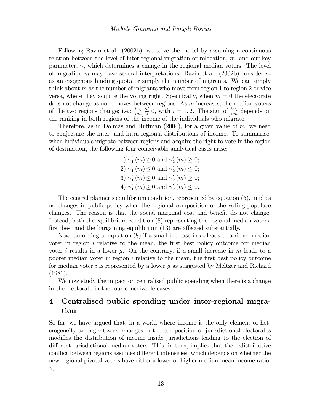Following Razin et al. (2002b), we solve the model by assuming a continuous relation between the level of inter-regional migration or relocation, m, and our key parameter,  $\gamma$ , which determines a change in the regional median voters. The level of migration m may have several interpretations. Razin et al. (2002b) consider m as an exogenous binding quota or simply the number of migrants. We can simply think about  $m$  as the number of migrants who move from region 1 to region 2 or vice versa, where they acquire the voting right. Specifically, when  $m = 0$  the electorate does not change as none moves between regions. As  $m$  increases, the median voters of the two regions change; i.e.:  $\frac{\partial \gamma_i}{\partial m} \leq 0$ , with  $i = 1, 2$ . The sign of  $\frac{\partial \gamma_i}{\partial m}$  depends on the ranking in both regions of the income of the individuals who migrate.

Therefore, as in Dolmas and Huffman (2004), for a given value of  $m$ , we need to conjecture the inter- and intra-regional distributions of income. To summarise, when individuals migrate between regions and acquire the right to vote in the region of destination, the following four conceivable analytical cases arise:

> 1)  $\gamma_1'$  $y'_1(m) \geq 0$  and  $\gamma'_2$  $'_{2}(m) \geq 0;$ 2)  $\gamma'_{1}$  $\gamma_1'(m) \leq 0$  and  $\gamma_2'$  $'_{2}(m) \leq 0;$ 3)  $\gamma'_{1}$  $\gamma_1'(m) \leq 0$  and  $\gamma_2'$  $'_{2}(m) \geq 0;$ 4)  $\gamma_1'$  $y'_1(m) \geq 0$  and  $\gamma'_2$  $'_{2}(m) \leq 0.$

The central planner's equilibrium condition, represented by equation (5), implies no changes in public policy when the regional composition of the voting populace changes. The reason is that the social marginal cost and benefit do not change. Instead, both the equilibrium condition (8) representing the regional median voters' first best and the bargaining equilibrium  $(13)$  are affected substantially.

Now, according to equation (8) if a small increase in  $m$  leads to a richer median voter in region  $i$  relative to the mean, the first best policy outcome for median voter i results in a lower q. On the contrary, if a small increase in  $m$  leads to a poorer median voter in region  $i$  relative to the mean, the first best policy outcome for median voter i is represented by a lower g as suggested by Meltzer and Richard (1981).

We now study the impact on centralised public spending when there is a change in the electorate in the four conceivable cases.

## 4 Centralised public spending under inter-regional migration

So far, we have argued that, in a world where income is the only element of heterogeneity among citizens, changes in the composition of jurisdictional electorates modifies the distribution of income inside jurisdictions leading to the election of different jurisdictional median voters. This, in turn, implies that the redistributive conflict between regions assumes different intensities, which depends on whether the new regional pivotal voters have either a lower or higher median-mean income ratio,  $\gamma_i$ .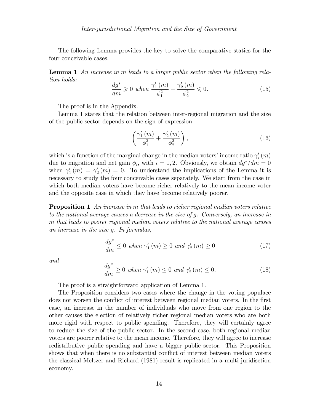The following Lemma provides the key to solve the comparative statics for the four conceivable cases.

Lemma 1 An increase in m leads to a larger public sector when the following relation holds:  $\overline{1}$  $\overline{1}$ 

$$
\frac{dg^*}{dm} \ge 0 \text{ when } \frac{\gamma_1'(m)}{\phi_1^2} + \frac{\gamma_2'(m)}{\phi_2^2} \le 0.
$$
 (15)

The proof is in the Appendix.

Lemma 1 states that the relation between inter-regional migration and the size of the public sector depends on the sign of expression

$$
\left(\frac{\gamma_1'(m)}{\phi_1^2} + \frac{\gamma_2'(m)}{\phi_2^2}\right),\tag{16}
$$

which is a function of the marginal change in the median voters' income ratio  $\gamma_i'$  $_{i}^{\prime}\left( m\right)$ due to migration and net gain  $\phi_i$ , with  $i = 1, 2$ . Obviously, we obtain  $dg^*/dm = 0$ when  $\gamma_1'$  $\gamma_{1}^{'}\left(m\right)\,=\,\gamma_{2}^{\prime}$  $2(m) = 0$ . To understand the implications of the Lemma it is necessary to study the four conceivable cases separately. We start from the case in which both median voters have become richer relatively to the mean income voter and the opposite case in which they have become relatively poorer.

**Proposition 1** An increase in m that leads to richer regional median voters relative to the national average causes a decrease in the size of g. Conversely, an increase in m that leads to poorer regional median voters relative to the national average causes an increase in the size g. In formulas,

$$
\frac{dg^*}{dm} \le 0 \text{ when } \gamma'_1(m) \ge 0 \text{ and } \gamma'_2(m) \ge 0 \tag{17}
$$

and

$$
\frac{dg^*}{dm} \ge 0 \text{ when } \gamma_1'(m) \le 0 \text{ and } \gamma_2'(m) \le 0. \tag{18}
$$

The proof is a straightforward application of Lemma 1.

The Proposition considers two cases where the change in the voting populace does not worsen the conflict of interest between regional median voters. In the first case, an increase in the number of individuals who move from one region to the other causes the election of relatively richer regional median voters who are both more rigid with respect to public spending. Therefore, they will certainly agree to reduce the size of the public sector. In the second case, both regional median voters are poorer relative to the mean income. Therefore, they will agree to increase redistributive public spending and have a bigger public sector. This Proposition shows that when there is no substantial conflict of interest between median voters the classical Meltzer and Richard (1981) result is replicated in a multi-juridisction economy.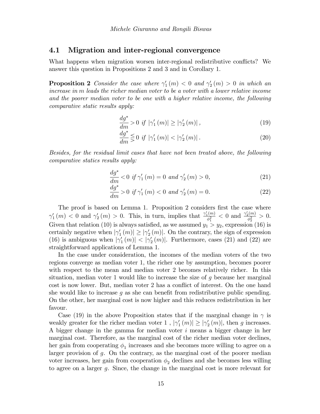## 4.1 Migration and inter-regional convergence

What happens when migration worsen inter-regional redistributive conflicts? We answer this question in Propositions 2 and 3 and in Corollary 1.

**Proposition 2** Consider the case where  $\gamma_1'$  $y'_1(m) < 0$  and  $\gamma'_2$  $2'_2(m) > 0$  in which an increase in m leads the richer median voter to be a voter with a lower relative income and the poorer median voter to be one with a higher relative income, the following comparative static results apply:

$$
\frac{dg^*}{dm} > 0 \text{ if } |\gamma_1'(m)| \ge |\gamma_2'(m)| , \qquad (19)
$$

$$
\frac{dg^*}{dm} \leq 0 \text{ if } |\gamma_1'(m)| < |\gamma_2'(m)|. \tag{20}
$$

Besides, for the residual limit cases that have not been treated above, the following comparative statics results apply:

$$
\frac{dg^*}{dm} < 0 \text{ if } \gamma_1'(m) = 0 \text{ and } \gamma_2'(m) > 0,
$$
\n(21)

$$
\frac{dg^*}{dm} > 0 \text{ if } \gamma_1'(m) < 0 \text{ and } \gamma_2'(m) = 0.
$$
 (22)

The proof is based on Lemma 1. Proposition 2 considers first the case where  $\gamma_1'$  $y'_1(m) < 0$  and  $\gamma'_2$  $\chi'_2(m) > 0$ . This, in turn, implies that  $\frac{\gamma'_1(m)}{\phi_1^2}$  $\frac{1}{\phi_1^2}$  < 0 and  $\frac{\gamma'_2(m)}{\phi_2^2}$  $\frac{2^{(m)}}{\phi_2^2} > 0.$ Given that relation (10) is always satisfied, as we assumed  $y_1 > y_2$ , expression (16) is certainly negative when  $|\gamma_1|$  $\vert \underline{\gamma}_1(m) \vert \geq \vert \gamma'_2 \vert$  $\binom{2}{2}(m)$ . On the contrary, the sign of expression (16) is ambiguous when  $|\gamma_1|$  $\left| \tilde{f}_1(m) \right| < |\gamma_2|$  $\binom{2}{2}$  (*m*)|. Furthermore, cases (21) and (22) are straightforward applications of Lemma 1.

In the case under consideration, the incomes of the median voters of the two regions converge as median voter 1, the richer one by assumption, becomes poorer with respect to the mean and median voter 2 becomes relatively richer. In this situation, median voter 1 would like to increase the size of  $g$  because her marginal cost is now lower. But, median voter 2 has a conflict of interest. On the one hand she would like to increase  $g$  as she can benefit from redistributive public spending. On the other, her marginal cost is now higher and this reduces redistribution in her favour.

Case (19) in the above Proposition states that if the marginal change in  $\gamma$  is weakly greater for the richer median voter  $1$  ,  $|\gamma_1^\prime\>$  $\vert \eta_1'(m) \vert \geq \vert \gamma_2' \vert$  $2(m)$ , then g increases. A bigger change in the gamma for median voter  $i$  means a bigger change in her marginal cost. Therefore, as the marginal cost of the richer median voter declines, her gain from cooperating  $\phi_1$  increases and she becomes more willing to agree on a larger provision of g. On the contrary, as the marginal cost of the poorer median voter increases, her gain from cooperation  $\phi_2$  declines and she becomes less willing to agree on a larger g. Since, the change in the marginal cost is more relevant for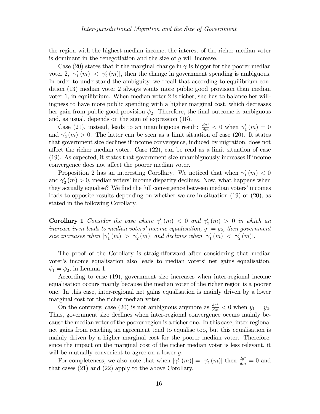the region with the highest median income, the interest of the richer median voter is dominant in the renegotiation and the size of g will increase.

Case (20) states that if the marginal change in  $\gamma$  is bigger for the poorer median voter 2,  $|\gamma_1$  $\binom{1}{1}(m) < |\gamma_2|$  $\binom{2}{2}(m)$ , then the change in government spending is ambiguous. In order to understand the ambiguity, we recall that according to equilibrium condition (13) median voter 2 always wants more public good provision than median voter 1, in equilibrium. When median voter 2 is richer, she has to balance her willingness to have more public spending with a higher marginal cost, which decreases her gain from public good provision  $\phi_2$ . Therefore, the final outcome is ambiguous and, as usual, depends on the sign of expression (16).

Case (21), instead, leads to an unambiguous result:  $\frac{dg^*}{dm} < 0$  when  $\gamma_1$  $_{1}^{\prime}(m)=0$ and  $\gamma_2'$  $2(m) > 0$ . The latter can be seen as a limit situation of case (20). It states that government size declines if income convergence, induced by migration, does not affect the richer median voter. Case  $(22)$ , can be read as a limit situation of case (19). As expected, it states that government size unambiguously increases if income convergence does not affect the poorer median voter.

Proposition 2 has an interesting Corollary. We noticed that when  $\gamma_1'$  $_{1}^{\prime}(m) < 0$ and  $\gamma_2'$  $2(m) > 0$ , median voters' income disparity declines. Now, what happens when they actually equalise? We find the full convergence between median voters' incomes leads to opposite results depending on whether we are in situation (19) or (20), as stated in the following Corollary.

**Corollary 1** Consider the case where  $\gamma_1'$  $\gamma_1'(m) < 0$  and  $\gamma_2'$  $y'_2(m) > 0$  in which an increase in m leads to median voters' income equalisation,  $y_1 = y_2$ , then government size increases when  $|\gamma_1|$  $\left| \frac{1}{1} \left( m \right) \right| > |\gamma_2'|$  $\mathcal{L}_2'(m)$  and declines when  $|\gamma_1'|$  $\left| \left( m\right) \right| <\left| \gamma _{2}^{\prime }\right|$  $2^{\prime}(m)$ .

The proof of the Corollary is straightforward after considering that median voter's income equalisation also leads to median voters' net gains equalisation,  $\phi_1 = \phi_2$ , in Lemma 1.

According to case (19), government size increases when inter-regional income equalisation occurs mainly because the median voter of the richer region is a poorer one. In this case, inter-regional net gains equalisation is mainly driven by a lower marginal cost for the richer median voter.

On the contrary, case (20) is not ambiguous anymore as  $\frac{dg^*}{dm} < 0$  when  $y_1 = y_2$ . Thus, government size declines when inter-regional convergence occurs mainly because the median voter of the poorer region is a richer one. In this case, inter-regional net gains from reaching an agreement tend to equalise too, but this equalisation is mainly driven by a higher marginal cost for the poorer median voter. Therefore, since the impact on the marginal cost of the richer median voter is less relevant, it will be mutually convenient to agree on a lower  $q$ .

For completeness, we also note that when  $|\gamma_1|$  $|1 \choose 1} = |\gamma_2'$  $\binom{d_2}{2}(m)$  then  $\frac{dg^*}{dm} = 0$  and that cases (21) and (22) apply to the above Corollary.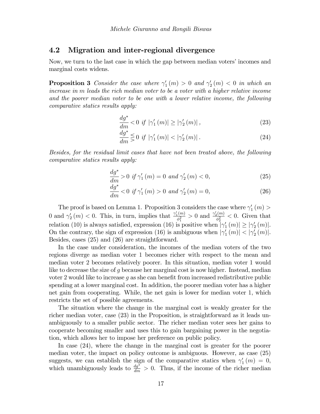## 4.2 Migration and inter-regional divergence

Now, we turn to the last case in which the gap between median voters' incomes and marginal costs widens.

**Proposition 3** Consider the case where  $\gamma_1'$  $y'_1(m) > 0$  and  $\gamma'_2$  $2'_2(m) < 0$  in which an increase in m leads the rich median voter to be a voter with a higher relative income and the poorer median voter to be one with a lower relative income, the following comparative statics results apply:

$$
\frac{dg^*}{dm} < 0 \text{ if } |\gamma_1'(m)| \ge |\gamma_2'(m)| \,, \tag{23}
$$

$$
\frac{dg^*}{dm} \lesssim 0 \text{ if } |\gamma_1'(m)| < |\gamma_2'(m)|. \tag{24}
$$

Besides, for the residual limit cases that have not been treated above, the following comparative statics results apply:

$$
\frac{dg^*}{dm} > 0 \text{ if } \gamma_1'(m) = 0 \text{ and } \gamma_2'(m) < 0,
$$
\n(25)

$$
\frac{dg^*}{dm} < 0 \text{ if } \gamma_1'(m) > 0 \text{ and } \gamma_2'(m) = 0,
$$
\n(26)

The proof is based on Lemma 1. Proposition 3 considers the case where  $\gamma'$  $_{1}^{\prime }\left( m\right) >$ 0 and  $\gamma_2'$  $\sum_{2}^{1}(m) < 0$ . This, in turn, implies that  $\frac{\gamma'_{1}(m)}{\delta_{1}^{2}}$  $\frac{1}{\phi_1^2}$  > 0 and  $\frac{\gamma'_2(m)}{\phi_2^2}$  $\frac{\rho_2(m)}{\phi_2^2}$  < 0. Given that relation (10) is always satisfied, expression (16) is positive when  $\gamma_1$  $\left|\left(n\right)\right| \geq |\gamma_2|$  $\binom{7}{2}(m)$ . On the contrary, the sign of expression (16) is ambiguous when  $|\gamma_1|$  $\left| \frac{1}{1}(m) \right| < |\gamma_2|$  $2^{\prime}(m)$ . Besides, cases (25) and (26) are straightforward.

In the case under consideration, the incomes of the median voters of the two regions diverge as median voter 1 becomes richer with respect to the mean and median voter 2 becomes relatively poorer. In this situation, median voter 1 would like to decrease the size of  $g$  because her marginal cost is now higher. Instead, median voter 2 would like to increase g as she can benefit from increased redistributive public spending at a lower marginal cost. In addition, the poorer median voter has a higher net gain from cooperating. While, the net gain is lower for median voter 1, which restricts the set of possible agreements.

The situation where the change in the marginal cost is weakly greater for the richer median voter, case (23) in the Proposition, is straightforward as it leads unambiguously to a smaller public sector. The richer median voter sees her gains to cooperate becoming smaller and uses this to gain bargaining power in the negotiation, which allows her to impose her preference on public policy.

In case (24), where the change in the marginal cost is greater for the poorer median voter, the impact on policy outcome is ambiguous. However, as case (25) suggests, we can establish the sign of the comparative statics when  $\gamma'$  $'_{1}(m) = 0,$ which unambiguously leads to  $\frac{dg^2}{dm} > 0$ . Thus, if the income of the richer median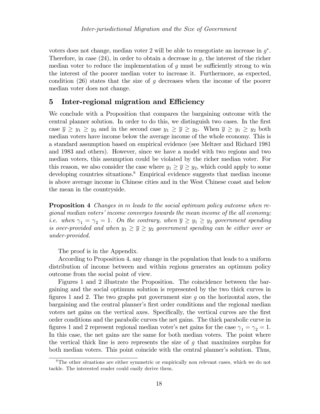voters does not change, median voter 2 will be able to renegotiate an increase in  $g^*$ . Therefore, in case  $(24)$ , in order to obtain a decrease in q, the interest of the richer median voter to reduce the implementation of  $g$  must be sufficiently strong to win the interest of the poorer median voter to increase it. Furthermore, as expected, condition  $(26)$  states that the size of g decreases when the income of the poorer median voter does not change.

## 5 Inter-regional migration and Efficiency

We conclude with a Proposition that compares the bargaining outcome with the central planner solution. In order to do this, we distinguish two cases. In the first case  $\overline{y} \ge y_1 \ge y_2$  and in the second case  $y_1 \ge \overline{y} \ge y_2$ . When  $\overline{y} \ge y_1 \ge y_2$  both median voters have income below the average income of the whole economy. This is a standard assumption based on empirical evidence (see Meltzer and Richard 1981 and 1983 and others). However, since we have a model with two regions and two median voters, this assumption could be violated by the richer median voter. For this reason, we also consider the case where  $y_1 \geq \overline{y} \geq y_2$ , which could apply to some developing countries situations.<sup>8</sup> Empirical evidence suggests that median income is above average income in Chinese cities and in the West Chinese coast and below the mean in the countryside.

**Proposition 4** Changes in m leads to the social optimum policy outcome when re $gional median voters' income converges towards the mean income of the all economy;$ *i.e.* when  $\gamma_1 = \gamma_2 = 1$ . On the contrary, when  $\overline{y} \ge y_1 \ge y_2$  government spending is over-provided and when  $y_1 \geq \overline{y} \geq y_2$  government spending can be either over or under-provided.

The proof is in the Appendix.

According to Proposition 4, any change in the population that leads to a uniform distribution of income between and within regions generates an optimum policy outcome from the social point of view.

Figures 1 and 2 illustrate the Proposition. The coincidence between the bargaining and the social optimum solution is represented by the two thick curves in figures 1 and 2. The two graphs put government size q on the horizontal axes, the bargaining and the central planner's first order conditions and the regional median voters net gains on the vertical axes. Specifically, the vertical curves are the first order conditions and the parabolic curves the net gains. The thick parabolic curve in figures 1 and 2 represent regional median voter's net gains for the case  $\gamma_1 = \gamma_2 = 1$ . In this case, the net gains are the same for both median voters. The point where the vertical thick line is zero represents the size of g that maximizes surplus for both median voters. This point coincide with the central planner's solution. Thus,

<sup>8</sup>The other situations are either symmetric or empirically non relevant cases, which we do not tackle. The interested reader could easily derive them.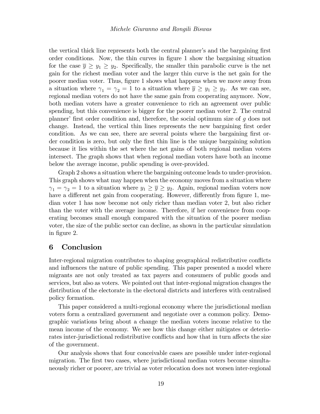the vertical thick line represents both the central planner's and the bargaining first order conditions. Now, the thin curves in figure 1 show the bargaining situation for the case  $\bar{y} \ge y_1 \ge y_2$ . Specifically, the smaller thin parabolic curve is the net gain for the richest median voter and the larger thin curve is the net gain for the poorer median voter. Thus, figure 1 shows what happens when we move away from a situation where  $\gamma_1 = \gamma_2 = 1$  to a situation where  $\overline{y} \ge y_1 \ge y_2$ . As we can see, regional median voters do not have the same gain from cooperating anymore. Now, both median voters have a greater convenience to rich an agreement over public spending, but this convenience is bigger for the poorer median voter 2. The central planner' first order condition and, therefore, the social optimum size of  $g$  does not change. Instead, the vertical thin lines represents the new bargaining first order condition. As we can see, there are several points where the bargaining first order condition is zero, but only the Örst thin line is the unique bargaining solution because it lies within the set where the net gains of both regional median voters intersect. The graph shows that when regional median voters have both an income below the average income, public spending is over-provided.

Graph 2 shows a situation where the bargaining outcome leads to under-provision. This graph shows what may happen when the economy moves from a situation where  $\gamma_1 = \gamma_2 = 1$  to a situation where  $y_1 \geq \overline{y} \geq y_2$ . Again, regional median voters now have a different net gain from cooperating. However, differently from figure 1, median voter 1 has now become not only richer than median voter 2, but also richer than the voter with the average income. Therefore, if her convenience from cooperating becomes small enough compared with the situation of the poorer median voter, the size of the public sector can decline, as shown in the particular simulation in figure 2.

## 6 Conclusion

Inter-regional migration contributes to shaping geographical redistributive conflicts and influences the nature of public spending. This paper presented a model where migrants are not only treated as tax payers and consumers of public goods and services, but also as voters. We pointed out that inter-regional migration changes the distribution of the electorate in the electoral districts and interferes with centralised policy formation.

This paper considered a multi-regional economy where the jurisdictional median voters form a centralized government and negotiate over a common policy. Demographic variations bring about a change the median voters income relative to the mean income of the economy. We see how this change either mitigates or deteriorates inter-jurisdictional redistributive conflicts and how that in turn affects the size of the government.

Our analysis shows that four conceivable cases are possible under inter-regional migration. The first two cases, where jurisdictional median voters become simultaneously richer or poorer, are trivial as voter relocation does not worsen inter-regional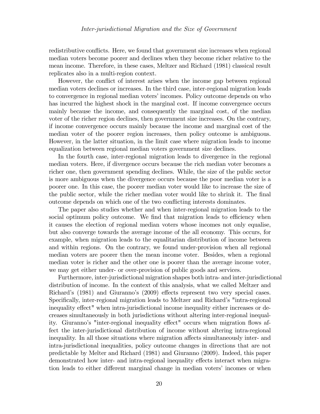redistributive conflicts. Here, we found that government size increases when regional median voters become poorer and declines when they become richer relative to the mean income. Therefore, in these cases, Meltzer and Richard (1981) classical result replicates also in a multi-region context.

However, the conflict of interest arises when the income gap between regional median voters declines or increases. In the third case, inter-regional migration leads to convergence in regional median voters' incomes. Policy outcome depends on who has incurred the highest shock in the marginal cost. If income convergence occurs mainly because the income, and consequently the marginal cost, of the median voter of the richer region declines, then government size increases. On the contrary, if income convergence occurs mainly because the income and marginal cost of the median voter of the poorer region increases, then policy outcome is ambiguous. However, in the latter situation, in the limit case where migration leads to income equalization between regional median voters government size declines.

In the fourth case, inter-regional migration leads to divergence in the regional median voters. Here, if divergence occurs because the rich median voter becomes a richer one, then government spending declines. While, the size of the public sector is more ambiguous when the divergence occurs because the poor median voter is a poorer one. In this case, the poorer median voter would like to increase the size of the public sector, while the richer median voter would like to shrink it. The final outcome depends on which one of the two conflicting interests dominates.

The paper also studies whether and when inter-regional migration leads to the social optimum policy outcome. We find that migration leads to efficiency when it causes the election of regional median voters whose incomes not only equalise, but also converge towards the average income of the all economy. This occurs, for example, when migration leads to the equalitarian distribution of income between and within regions. On the contrary, we found under-provision when all regional median voters are poorer then the mean income voter. Besides, when a regional median voter is richer and the other one is poorer than the average income voter, we may get either under- or over-provision of public goods and services.

Furthermore, inter-jurisdictional migration shapes both intra- and inter-jurisdictional distribution of income. In the context of this analysis, what we called Meltzer and Richard's (1981) and Giuranno's (2009) effects represent two very special cases. Specifically, inter-regional migration leads to Meltzer and Richard's "intra-regional inequality effect" when intra-jurisdictional income inequality either increases or decreases simultaneously in both jurisdictions without altering inter-regional inequality. Giuranno's "inter-regional inequality effect" occurs when migration flows affect the inter-jurisdictional distribution of income without altering intra-regional inequality. In all those situations where migration affects simultaneously inter- and intra-jurisdictional inequalities, policy outcome changes in directions that are not predictable by Melter and Richard (1981) and Giuranno (2009). Indeed, this paper demonstrated how inter- and intra-regional inequality effects interact when migration leads to either different marginal change in median voters' incomes or when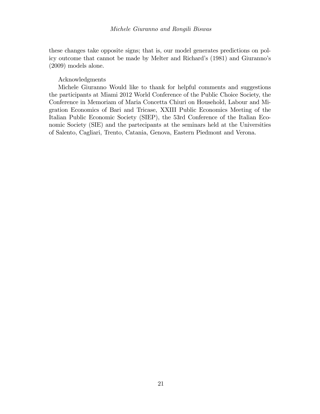these changes take opposite signs; that is, our model generates predictions on policy outcome that cannot be made by Melter and Richard's (1981) and Giuranno's (2009) models alone.

#### Acknowledgments

Michele Giuranno Would like to thank for helpful comments and suggestions the participants at Miami 2012 World Conference of the Public Choice Society, the Conference in Memoriam of Maria Concetta Chiuri on Household, Labour and Migration Economics of Bari and Tricase, XXIII Public Economics Meeting of the Italian Public Economic Society (SIEP), the 53rd Conference of the Italian Economic Society (SIE) and the partecipants at the seminars held at the Universities of Salento, Cagliari, Trento, Catania, Genova, Eastern Piedmont and Verona.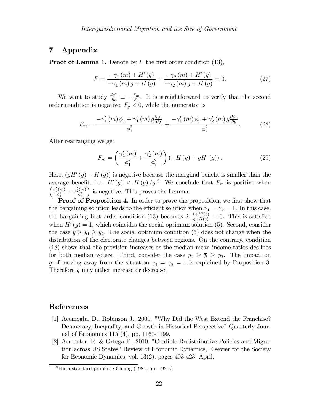## 7 Appendix

**Proof of Lemma 1.** Denote by  $F$  the first order condition (13),

$$
F = \frac{-\gamma_1(m) + H'(g)}{-\gamma_1(m) g + H(g)} + \frac{-\gamma_2(m) + H'(g)}{-\gamma_2(m) g + H(g)} = 0.
$$
 (27)

We want to study  $\frac{dg^*}{dm} \equiv -\frac{F_m}{F_g}$ . It is straightforward to verify that the second order condition is negative,  $F_g < 0$ , while the numerator is

$$
F_m = \frac{-\gamma_1'(m)\phi_1 + \gamma_1'(m) g \frac{\partial \phi_1}{\partial g}}{\phi_1^2} + \frac{-\gamma_2'(m)\phi_2 + \gamma_2'(m) g \frac{\partial \phi_2}{\partial g}}{\phi_2^2}.
$$
 (28)

After rearranging we get

$$
F_m = \left(\frac{\gamma_1'(m)}{\phi_1^2} + \frac{\gamma_2'(m)}{\phi_2^2}\right) \left(-H\left(g\right) + gH'\left(g\right)\right). \tag{29}
$$

Here,  $(gH'(g) - H(g))$  is negative because the marginal benefit is smaller than the average benefit, i.e.  $H'(g) < H(g)/g^{9}$  We conclude that  $F_m$  is positive when  $\sqrt{\gamma'_1(m)}$  $\frac{\gamma'_2(m)}{\phi_1^2} + \frac{\gamma'_2(m)}{\phi_2^2}$  $\overline{\phi_2^2}$ is negative. This proves the Lemma.

Proof of Proposition 4. In order to prove the proposition, we first show that the bargaining solution leads to the efficient solution when  $\gamma_1 = \gamma_2 = 1$ . In this case, the bargaining first order condition (13) becomes  $2\frac{-1+H'(g)}{-g+H(g)} = 0$ . This is satisfied when  $H'(g) = 1$ , which coincides the social optimum solution (5). Second, consider the case  $\overline{y} \ge y_1 \ge y_2$ . The social optimum condition (5) does not change when the distribution of the electorate changes between regions. On the contrary, condition (18) shows that the provision increases as the median mean income ratios declines for both median voters. Third, consider the case  $y_1 \geq \overline{y} \geq y_2$ . The impact on g of moving away from the situation  $\gamma_1 = \gamma_2 = 1$  is explained by Proposition 3. Therefore g may either increase or decrease.

## References

- [1] Acemoglu, D., Robinson J., 2000. "Why Did the West Extend the Franchise? Democracy, Inequality, and Growth in Historical Perspective" Quarterly Journal of Economics 115 (4), pp. 1167-1199.
- [2] Armenter, R. & Ortega F., 2010. "Credible Redistributive Policies and Migration across US States" Review of Economic Dynamics, Elsevier for the Society for Economic Dynamics, vol. 13(2), pages 403-423, April.

 $9^9$ For a standard proof see Chiang (1984, pp. 192-3).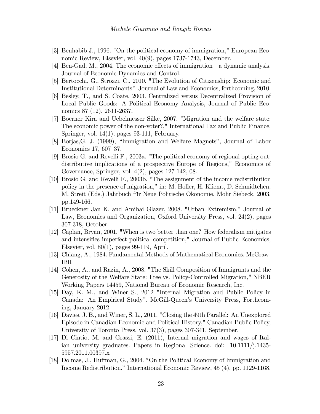- [3] Benhabib J., 1996. "On the political economy of immigration," European Economic Review, Elsevier, vol. 40(9), pages 1737-1743, December.
- [4] Ben-Gad, M., 2004. The economic effects of immigration—a dynamic analysis. Journal of Economic Dynamics and Control.
- [5] Bertocchi, G., Strozzi, C., 2010. "The Evolution of Citizenship: Economic and Institutional Determinants". Journal of Law and Economics, forthcoming, 2010.
- [6] Besley, T., and S. Coate, 2003. Centralized versus Decentralized Provision of Local Public Goods: A Political Economy Analysis, Journal of Public Economics 87 (12), 2611-2637.
- [7] Boerner Kira and Uebelmesser Silke, 2007. "Migration and the welfare state: The economic power of the non-voter?," International Tax and Public Finance, Springer, vol. 14(1), pages 93-111, February.
- [8] Borjas, G. J. (1999), "Immigration and Welfare Magnets", Journal of Labor Economics 17, 607–37.
- [9] Brosio G. and Revelli F., 2003a. "The political economy of regional opting out: distributive implications of a prospective Europe of Regions," Economics of Governance, Springer, vol. 4(2), pages 127-142, 08.
- [10] Brosio G. and Revelli F., 2003b. "The assignment of the income redistribution policy in the presence of migration," in: M. Holler, H. Kliemt, D. Schmidtchen, M. Streit (Eds.) Jahrbuch für Neue Politische Ökonomie, Mohr Siebeck, 2003, pp.149-166.
- [11] Brueckner Jan K. and Amihai Glazer, 2008. "Urban Extremism," Journal of Law, Economics and Organization, Oxford University Press, vol. 24(2), pages 307-318, October.
- [12] Caplan, Bryan, 2001. "When is two better than one? How federalism mitigates and intensifies imperfect political competition," Journal of Public Economics, Elsevier, vol. 80(1), pages 99-119, April.
- [13] Chiang, A., 1984. Fundamental Methods of Mathematical Economics. McGraw-Hill.
- [14] Cohen, A., and Razin, A., 2008. "The Skill Composition of Immigrants and the Generosity of the Welfare State: Free vs. Policy-Controlled Migration," NBER Working Papers 14459, National Bureau of Economic Research, Inc.
- [15] Day, K. M., and Winer S., 2012 "Internal Migration and Public Policy in Canada: An Empirical Study". McGill-Queen's University Press, Forthcoming, January 2012.
- [16] Davies, J. B., and Winer, S. L., 2011. "Closing the 49th Parallel: An Unexplored Episode in Canadian Economic and Political History," Canadian Public Policy, University of Toronto Press, vol. 37(3), pages 307-341, September.
- [17] Di Cintio, M. and Grassi, E. (2011), Internal migration and wages of Italian university graduates. Papers in Regional Science. doi: 10.1111/j.1435- 5957.2011.00397.x
- [18] Dolmas, J., Huffman, G., 2004. "On the Political Economy of Immigration and Income Redistribution." International Economic Review, 45 (4), pp. 1129-1168.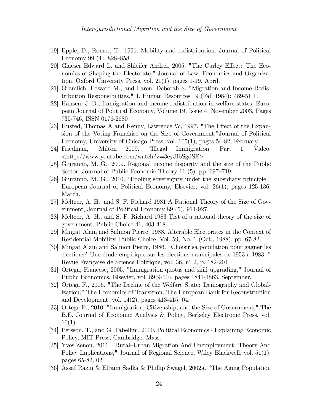- [19] Epple, D., Romer, T., 1991. Mobility and redistribution. Journal of Political Economy 99  $(4)$ , 828–858.
- [20] Glaeser Edward L. and Shleifer Andrei, 2005. "The Curley Effect: The Economics of Shaping the Electorate," Journal of Law, Economics and Organization, Oxford University Press, vol. 21(1), pages 1-19, April.
- [21] Gramlich, Edward M., and Laren, Deborah S. "Migration and Income Redistribution Responsibilities." J. Human Resources 19 (Fall 1984): 489-51 1.
- [22] Hansen, J. D., Immigration and income redistribution in welfare states, European Journal of Political Economy, Volume 19, Issue 4, November 2003, Pages 735-746, ISSN 0176-2680
- [23] Husted, Thomas A and Kenny, Lawrence W, 1997. "The Effect of the Expansion of the Voting Franchise on the Size of Government,"Journal of Political Economy, University of Chicago Press, vol. 105(1), pages 54-82, February.
- [24] Friedman, Milton 2009. "Illegal Immigration. Part 1. Video. <http://www.youtube.com/watch?v=3eyJIbSgdSE>
- [25] Giuranno, M. G., 2009. Regional income disparity and the size of the Public Sector. Journal of Public Economic Theory 11  $(5)$ , pp. 697–719.
- [26] Giuranno, M. G., 2010. "Pooling sovereignty under the subsidiary principle". European Journal of Political Economy, Elsevier, vol. 26(1), pages 125-136, March.
- [27] Meltzer, A. H., and S. F. Richard 1981 A Rational Theory of the Size of Government, Journal of Political Economy 89 (5), 914-927.
- [28] Meltzer, A. H., and S. F. Richard 1983 Test of a rational theory of the size of government, Public Choice 41, 403-418.
- [29] Mingat Alain and Salmon Pierre, 1988. Alterable Electorates in the Context of Residential Mobility, Public Choice, Vol. 59, No. 1 (Oct., 1988), pp. 67-82.
- [30] Mingat Alain and Salmon Pierre, 1986. "Choisir sa population pour gagner les Èlections? Une Ètude empirique sur les Èlections municipales de 1953 ‡ 1983, " Revue Française de Science Politique, vol. 36, n° 2, p. 182-204
- [31] Ortega, Francesc, 2005. "Immigration quotas and skill upgrading," Journal of Public Economics, Elsevier, vol. 89(9-10), pages 1841-1863, September.
- [32] Ortega F., 2006. "The Decline of the Welfare State: Demography and Globalization," The Economics of Transition, The European Bank for Reconstruction and Development, vol. 14(2), pages 413-415, 04.
- [33] Ortega F., 2010. "Immigration, Citizenship, and the Size of Government," The B.E. Journal of Economic Analysis & Policy, Berkeley Electronic Press, vol.  $10(1)$ .
- [34] Persson, T., and G. Tabellini, 2000. Political Economics Explaining Economic Policy, MIT Press, Cambridge, Mass.
- [35] Yves Zenou, 2011. "Rural–Urban Migration And Unemployment: Theory And Policy Implications," Journal of Regional Science, Wiley Blackwell, vol. 51(1), pages 65-82, 02.
- [36] Assaf Razin & Efraim Sadka & Phillip Swagel, 2002a. "The Aging Population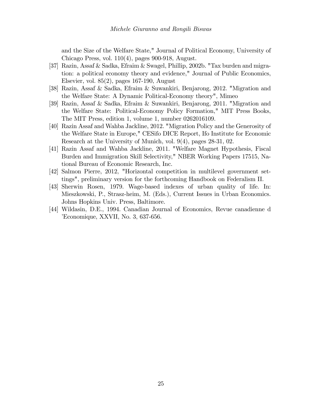and the Size of the Welfare State," Journal of Political Economy, University of Chicago Press, vol. 110(4), pages 900-918, August.

- [37] Razin, Assaf & Sadka, Efraim & Swagel, Phillip, 2002b. "Tax burden and migration: a political economy theory and evidence," Journal of Public Economics, Elsevier, vol. 85(2), pages 167-190, August
- [38] Razin, Assaf & Sadka, Efraim & Suwankiri, Benjarong, 2012. "Migration and the Welfare State: A Dynamic Political-Economy theory", Mimeo
- [39] Razin, Assaf & Sadka, Efraim & Suwankiri, Benjarong, 2011. "Migration and the Welfare State: Political-Economy Policy Formation," MIT Press Books, The MIT Press, edition 1, volume 1, number 0262016109.
- [40] Razin Assaf and Wahba Jackline, 2012. "Migration Policy and the Generosity of the Welfare State in Europe," CESifo DICE Report, Ifo Institute for Economic Research at the University of Munich, vol. 9(4), pages 28-31, 02.
- [41] Razin Assaf and Wahba Jackline, 2011. "Welfare Magnet Hypothesis, Fiscal Burden and Immigration Skill Selectivity," NBER Working Papers 17515, National Bureau of Economic Research, Inc.
- [42] Salmon Pierre, 2012, "Horizontal competition in multilevel government settings", preliminary version for the forthcoming Handbook on Federalism II.
- [43] Sherwin Rosen, 1979. Wage-based indexes of urban quality of life. In: Mieszkowski, P., Strasz-heim, M. (Eds.), Current Issues in Urban Economics. Johns Hopkins Univ. Press, Baltimore.
- [44] Wildasin, D.E., 1994. Canadian Journal of Economics, Revue canadienne d íEconomique, XXVII, No. 3, 637-656.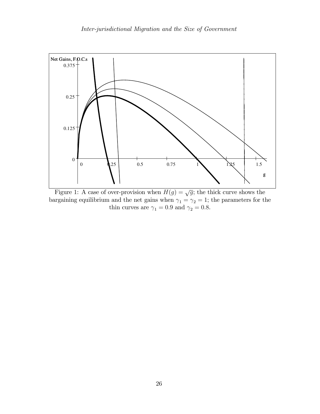

Figure 1: A case of over-provision when  $H(g) = \sqrt{g}$ ; the thick curve shows the bargaining equilibrium and the net gains when  $\gamma_1 = \gamma_2 = 1$ ; the parameters for the thin curves are  $\gamma_1 = 0.9$  and  $\gamma_2 = 0.8$ .